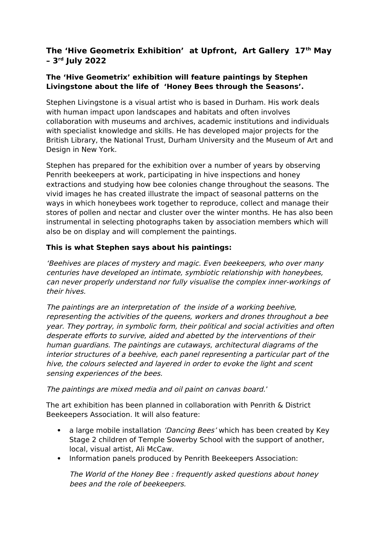# **The 'Hive Geometrix Exhibition' at Upfront, Art Gallery 17th May – 3rd July 2022**

#### **The 'Hive Geometrix' exhibition will feature paintings by Stephen Livingstone about the life of 'Honey Bees through the Seasons'.**

Stephen Livingstone is a visual artist who is based in Durham. His work deals with human impact upon landscapes and habitats and often involves collaboration with museums and archives, academic institutions and individuals with specialist knowledge and skills. He has developed major projects for the British Library, the National Trust, Durham University and the Museum of Art and Design in New York.

Stephen has prepared for the exhibition over a number of years by observing Penrith beekeepers at work, participating in hive inspections and honey extractions and studying how bee colonies change throughout the seasons. The vivid images he has created illustrate the impact of seasonal patterns on the ways in which honeybees work together to reproduce, collect and manage their stores of pollen and nectar and cluster over the winter months. He has also been instrumental in selecting photographs taken by association members which will also be on display and will complement the paintings.

## **This is what Stephen says about his paintings:**

'Beehives are places of mystery and magic. Even beekeepers, who over many centuries have developed an intimate, symbiotic relationship with honeybees, can never properly understand nor fully visualise the complex inner-workings of their hives.

The paintings are an interpretation of the inside of a working beehive, representing the activities of the queens, workers and drones throughout a bee year. They portray, in symbolic form, their political and social activities and often desperate efforts to survive, aided and abetted by the interventions of their human guardians. The paintings are cutaways, architectural diagrams of the interior structures of a beehive, each panel representing a particular part of the hive, the colours selected and layered in order to evoke the light and scent sensing experiences of the bees.

#### The paintings are mixed media and oil paint on canvas board.'

The art exhibition has been planned in collaboration with Penrith & District Beekeepers Association. It will also feature:

- a large mobile installation *'Dancing Bees'* which has been created by Key Stage 2 children of Temple Sowerby School with the support of another, local, visual artist, Ali McCaw.
- Information panels produced by Penrith Beekeepers Association:

The World of the Honey Bee : frequently asked questions about honey bees and the role of beekeepers.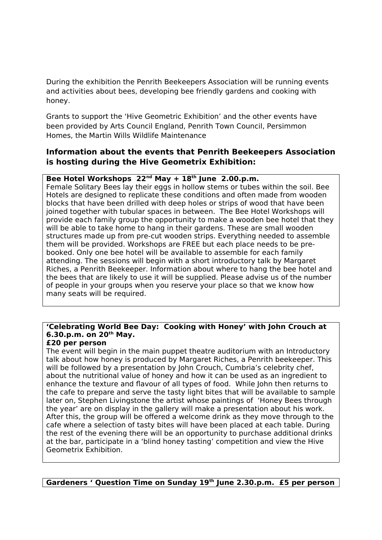During the exhibition the Penrith Beekeepers Association will be running events and activities about bees, developing bee friendly gardens and cooking with honey.

Grants to support the 'Hive Geometric Exhibition' and the other events have been provided by Arts Council England, Penrith Town Council, Persimmon Homes, the Martin Wills Wildlife Maintenance

### **Information about the events that Penrith Beekeepers Association is hosting during the Hive Geometrix Exhibition:**

#### **Bee Hotel Workshops 22nd May + 18th June 2.00.p.m.**

Female Solitary Bees lay their eggs in hollow stems or tubes within the soil. Bee Hotels are designed to replicate these conditions and often made from wooden blocks that have been drilled with deep holes or strips of wood that have been joined together with tubular spaces in between. The Bee Hotel Workshops will provide each family group the opportunity to make a wooden bee hotel that they will be able to take home to hang in their gardens. These are small wooden structures made up from pre-cut wooden strips. Everything needed to assemble them will be provided. Workshops are FREE but each place needs to be prebooked. Only one bee hotel will be available to assemble for each family attending. The sessions will begin with a short introductory talk by Margaret Riches, a Penrith Beekeeper. Information about where to hang the bee hotel and the bees that are likely to use it will be supplied. Please advise us of the number of people in your groups when you reserve your place so that we know how many seats will be required.

## **'Celebrating World Bee Day: Cooking with Honey' with John Crouch at 6.30.p.m. on 20th May.**

#### **£20 per person**

The event will begin in the main puppet theatre auditorium with an Introductory talk about how honey is produced by Margaret Riches, a Penrith beekeeper. This will be followed by a presentation by John Crouch, Cumbria's celebrity chef, about the nutritional value of honey and how it can be used as an ingredient to enhance the texture and flavour of all types of food. While John then returns to the cafe to prepare and serve the tasty light bites that will be available to sample later on, Stephen Livingstone the artist whose paintings of 'Honey Bees through the year' are on display in the gallery will make a presentation about his work. After this, the group will be offered a welcome drink as they move through to the cafe where a selection of tasty bites will have been placed at each table. During the rest of the evening there will be an opportunity to purchase additional drinks at the bar, participate in a 'blind honey tasting' competition and view the Hive Geometrix Exhibition.

**Gardeners ' Question Time on Sunday 19th June 2.30.p.m. £5 per person**